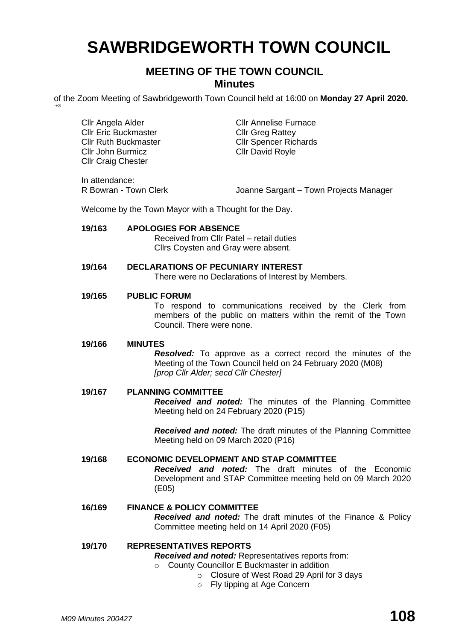# **SAWBRIDGEWORTH TOWN COUNCIL**

# **MEETING OF THE TOWN COUNCIL Minutes**

of the Zoom Meeting of Sawbridgeworth Town Council held at 16:00 on **Monday 27 April 2020.**

In attendance:

-+3

R Bowran - Town Clerk **Joanne Sargant – Town Projects Manager** 

Welcome by the Town Mayor with a Thought for the Day.

| 19/163 | <b>APOLOGIES FOR ABSENCE</b><br>Received from Cllr Patel – retail duties<br>Cllrs Coysten and Gray were absent.                                                                            |
|--------|--------------------------------------------------------------------------------------------------------------------------------------------------------------------------------------------|
| 19/164 | <b>DECLARATIONS OF PECUNIARY INTEREST</b><br>There were no Declarations of Interest by Members.                                                                                            |
| 19/165 | <b>PUBLIC FORUM</b><br>To respond to communications received by the Clerk from<br>members of the public on matters within the remit of the Town<br>Council. There were none.               |
| 19/166 | <b>MINUTES</b><br><b>Resolved:</b> To approve as a correct record the minutes of the<br>Meeting of the Town Council held on 24 February 2020 (M08)<br>[prop Cllr Alder; secd Cllr Chester] |
| 19/167 | <b>PLANNING COMMITTEE</b><br><b>Received and noted:</b> The minutes of the Planning Committee<br>Meeting held on 24 February 2020 (P15)                                                    |
|        |                                                                                                                                                                                            |

*Received and noted:* The draft minutes of the Planning Committee Meeting held on 09 March 2020 (P16)

# **19/168 ECONOMIC DEVELOPMENT AND STAP COMMITTEE**

*Received and noted:* The draft minutes of the Economic Development and STAP Committee meeting held on 09 March 2020 (E05)

# **16/169 FINANCE & POLICY COMMITTEE**

*Received and noted:* The draft minutes of the Finance & Policy Committee meeting held on 14 April 2020 (F05)

# **19/170 REPRESENTATIVES REPORTS**

*Received and noted:* Representatives reports from:

- o County Councillor E Buckmaster in addition
	- o Closure of West Road 29 April for 3 days
	- o Fly tipping at Age Concern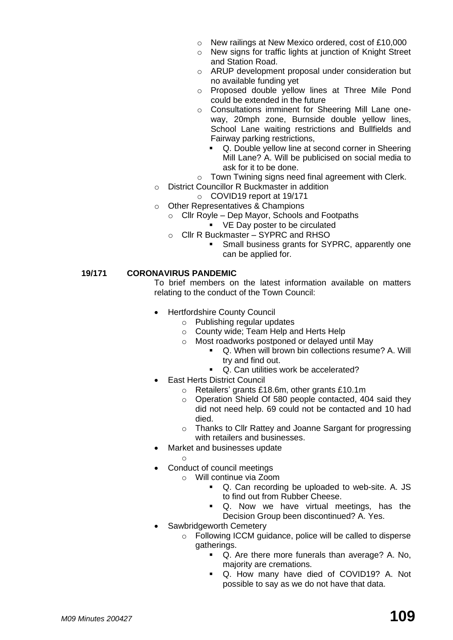- o New railings at New Mexico ordered, cost of £10,000
- o New signs for traffic lights at junction of Knight Street and Station Road.
- o ARUP development proposal under consideration but no available funding yet
- o Proposed double yellow lines at Three Mile Pond could be extended in the future
- o Consultations imminent for Sheering Mill Lane oneway, 20mph zone, Burnside double yellow lines, School Lane waiting restrictions and Bullfields and Fairway parking restrictions,
	- Q. Double yellow line at second corner in Sheering Mill Lane? A. Will be publicised on social media to ask for it to be done.
- o Town Twining signs need final agreement with Clerk.
- o District Councillor R Buckmaster in addition
	- o COVID19 report at 19/171
- o Other Representatives & Champions
	- o Cllr Royle Dep Mayor, Schools and Footpaths ■ VE Day poster to be circulated
	- o Cllr R Buckmaster SYPRC and RHSO
		- Small business grants for SYPRC, apparently one can be applied for.

# **19/171 CORONAVIRUS PANDEMIC**

To brief members on the latest information available on matters relating to the conduct of the Town Council:

- Hertfordshire County Council
	- o Publishing regular updates
	- o County wide; Team Help and Herts Help
	- o Most roadworks postponed or delayed until May
		- Q. When will brown bin collections resume? A. Will try and find out.
		- Q. Can utilities work be accelerated?
- **Fast Herts District Council** 
	- o Retailers' grants £18.6m, other grants £10.1m
	- o Operation Shield Of 580 people contacted, 404 said they did not need help. 69 could not be contacted and 10 had died.
	- o Thanks to Cllr Rattey and Joanne Sargant for progressing with retailers and businesses.
- Market and businesses update
	- o
- Conduct of council meetings
	- o Will continue via Zoom
		- Q. Can recording be uploaded to web-site. A. JS to find out from Rubber Cheese.
		- Q. Now we have virtual meetings, has the Decision Group been discontinued? A. Yes.
- Sawbridgeworth Cemetery
	- o Following ICCM guidance, police will be called to disperse gatherings.
		- Q. Are there more funerals than average? A. No, majority are cremations.
		- Q. How many have died of COVID19? A. Not possible to say as we do not have that data.